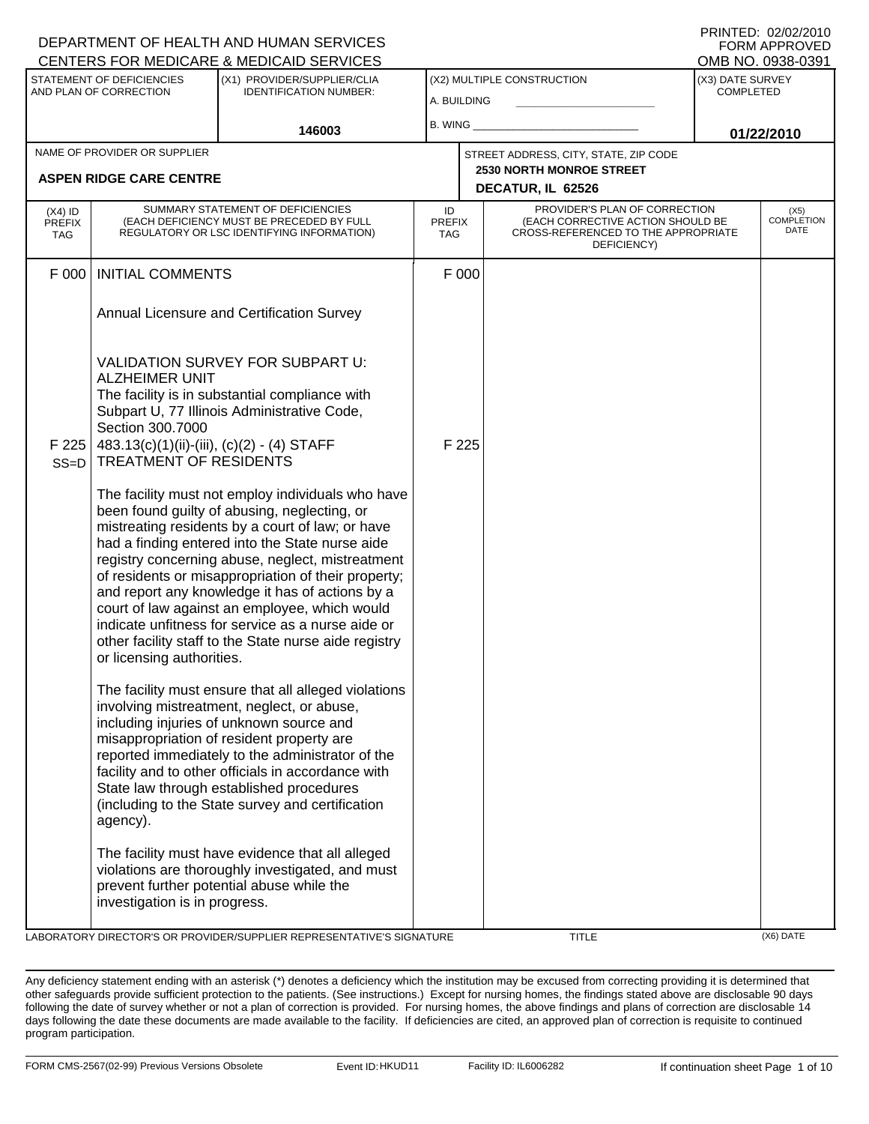|                                          |                                                                                                                                                | DEPARTMENT OF HEALTH AND HUMAN SERVICES<br>CENTERS FOR MEDICARE & MEDICAID SERVICES                                                                                                                                                                                                                                                                                                                                                                                                                                                                                                                                                                                        |                                   |       |                                                                                                                          |                                      | <b>FORM APPROVED</b><br>OMB NO. 0938-0391 |
|------------------------------------------|------------------------------------------------------------------------------------------------------------------------------------------------|----------------------------------------------------------------------------------------------------------------------------------------------------------------------------------------------------------------------------------------------------------------------------------------------------------------------------------------------------------------------------------------------------------------------------------------------------------------------------------------------------------------------------------------------------------------------------------------------------------------------------------------------------------------------------|-----------------------------------|-------|--------------------------------------------------------------------------------------------------------------------------|--------------------------------------|-------------------------------------------|
|                                          | <b>STATEMENT OF DEFICIENCIES</b><br>AND PLAN OF CORRECTION                                                                                     | (X1) PROVIDER/SUPPLIER/CLIA<br><b>IDENTIFICATION NUMBER:</b>                                                                                                                                                                                                                                                                                                                                                                                                                                                                                                                                                                                                               | A. BUILDING                       |       | (X2) MULTIPLE CONSTRUCTION                                                                                               | (X3) DATE SURVEY<br><b>COMPLETED</b> |                                           |
|                                          |                                                                                                                                                | 146003                                                                                                                                                                                                                                                                                                                                                                                                                                                                                                                                                                                                                                                                     | B. WING                           |       |                                                                                                                          |                                      | 01/22/2010                                |
|                                          | NAME OF PROVIDER OR SUPPLIER                                                                                                                   |                                                                                                                                                                                                                                                                                                                                                                                                                                                                                                                                                                                                                                                                            |                                   |       | STREET ADDRESS, CITY, STATE, ZIP CODE                                                                                    |                                      |                                           |
|                                          | <b>ASPEN RIDGE CARE CENTRE</b>                                                                                                                 |                                                                                                                                                                                                                                                                                                                                                                                                                                                                                                                                                                                                                                                                            |                                   |       | <b>2530 NORTH MONROE STREET</b><br>DECATUR, IL 62526                                                                     |                                      |                                           |
| $(X4)$ ID<br><b>PREFIX</b><br><b>TAG</b> |                                                                                                                                                | SUMMARY STATEMENT OF DEFICIENCIES<br>(EACH DEFICIENCY MUST BE PRECEDED BY FULL<br>REGULATORY OR LSC IDENTIFYING INFORMATION)                                                                                                                                                                                                                                                                                                                                                                                                                                                                                                                                               | ID<br><b>PREFIX</b><br><b>TAG</b> |       | PROVIDER'S PLAN OF CORRECTION<br>(EACH CORRECTIVE ACTION SHOULD BE<br>CROSS-REFERENCED TO THE APPROPRIATE<br>DEFICIENCY) |                                      | (X5)<br><b>COMPLETION</b><br>DATE         |
| F 000                                    | <b>INITIAL COMMENTS</b>                                                                                                                        |                                                                                                                                                                                                                                                                                                                                                                                                                                                                                                                                                                                                                                                                            |                                   | F 000 |                                                                                                                          |                                      |                                           |
|                                          |                                                                                                                                                | Annual Licensure and Certification Survey                                                                                                                                                                                                                                                                                                                                                                                                                                                                                                                                                                                                                                  |                                   |       |                                                                                                                          |                                      |                                           |
| F225<br>$SS=D$                           | <b>ALZHEIMER UNIT</b><br>Section 300.7000<br>483.13(c)(1)(ii)-(iii), (c)(2) - (4) STAFF<br>TREATMENT OF RESIDENTS<br>or licensing authorities. | VALIDATION SURVEY FOR SUBPART U:<br>The facility is in substantial compliance with<br>Subpart U, 77 Illinois Administrative Code,<br>The facility must not employ individuals who have<br>been found guilty of abusing, neglecting, or<br>mistreating residents by a court of law; or have<br>had a finding entered into the State nurse aide<br>registry concerning abuse, neglect, mistreatment<br>of residents or misappropriation of their property;<br>and report any knowledge it has of actions by a<br>court of law against an employee, which would<br>indicate unfitness for service as a nurse aide or<br>other facility staff to the State nurse aide registry |                                   | F 225 |                                                                                                                          |                                      |                                           |
|                                          | agency).                                                                                                                                       | The facility must ensure that all alleged violations<br>involving mistreatment, neglect, or abuse,<br>including injuries of unknown source and<br>misappropriation of resident property are<br>reported immediately to the administrator of the<br>facility and to other officials in accordance with<br>State law through established procedures<br>(including to the State survey and certification                                                                                                                                                                                                                                                                      |                                   |       |                                                                                                                          |                                      |                                           |
|                                          | investigation is in progress.                                                                                                                  | The facility must have evidence that all alleged<br>violations are thoroughly investigated, and must<br>prevent further potential abuse while the                                                                                                                                                                                                                                                                                                                                                                                                                                                                                                                          |                                   |       |                                                                                                                          |                                      |                                           |

LABORATORY DIRECTOR'S OR PROVIDER/SUPPLIER REPRESENTATIVE'S SIGNATURE TITLE TITLE (X6) DATE

DEPARTMENT OF HEALTH AND HUMAN SERVICES

PRINTED: 02/02/2010

Any deficiency statement ending with an asterisk (\*) denotes a deficiency which the institution may be excused from correcting providing it is determined that other safeguards provide sufficient protection to the patients. (See instructions.) Except for nursing homes, the findings stated above are disclosable 90 days following the date of survey whether or not a plan of correction is provided. For nursing homes, the above findings and plans of correction are disclosable 14 days following the date these documents are made available to the facility. If deficiencies are cited, an approved plan of correction is requisite to continued program participation.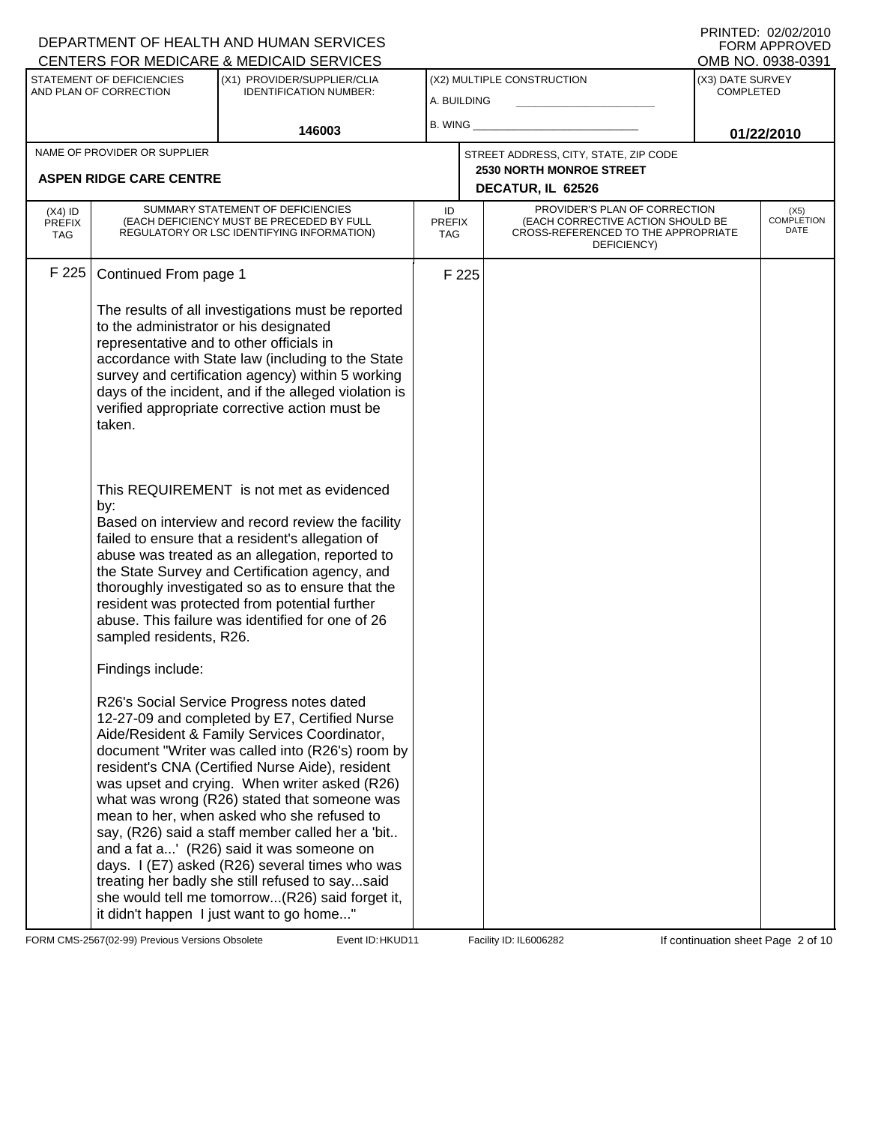| DEPARTMENT OF HEALTH AND HUMAN SERVICES<br>CENTERS FOR MEDICARE & MEDICAID SERVICES                                                                                                   |                                                                                                                                                                                                                                                                                                                                                                                                                                                                                                                                                                                                                                                                                                                                                                                                                                                                                                                                                                                                                                                                                                                                                                                                                                                                                                                                                                                                     |                                   |       |                                                                                                                          |                                      | FNINIED. UZIUZIZUTU<br><b>FORM APPROVED</b><br>OMB NO. 0938-0391 |
|---------------------------------------------------------------------------------------------------------------------------------------------------------------------------------------|-----------------------------------------------------------------------------------------------------------------------------------------------------------------------------------------------------------------------------------------------------------------------------------------------------------------------------------------------------------------------------------------------------------------------------------------------------------------------------------------------------------------------------------------------------------------------------------------------------------------------------------------------------------------------------------------------------------------------------------------------------------------------------------------------------------------------------------------------------------------------------------------------------------------------------------------------------------------------------------------------------------------------------------------------------------------------------------------------------------------------------------------------------------------------------------------------------------------------------------------------------------------------------------------------------------------------------------------------------------------------------------------------------|-----------------------------------|-------|--------------------------------------------------------------------------------------------------------------------------|--------------------------------------|------------------------------------------------------------------|
| STATEMENT OF DEFICIENCIES<br>AND PLAN OF CORRECTION                                                                                                                                   | (X1) PROVIDER/SUPPLIER/CLIA<br><b>IDENTIFICATION NUMBER:</b>                                                                                                                                                                                                                                                                                                                                                                                                                                                                                                                                                                                                                                                                                                                                                                                                                                                                                                                                                                                                                                                                                                                                                                                                                                                                                                                                        | A. BUILDING                       |       | (X2) MULTIPLE CONSTRUCTION                                                                                               | (X3) DATE SURVEY<br><b>COMPLETED</b> |                                                                  |
|                                                                                                                                                                                       | 146003                                                                                                                                                                                                                                                                                                                                                                                                                                                                                                                                                                                                                                                                                                                                                                                                                                                                                                                                                                                                                                                                                                                                                                                                                                                                                                                                                                                              | B. WING                           |       |                                                                                                                          |                                      | 01/22/2010                                                       |
| NAME OF PROVIDER OR SUPPLIER<br><b>ASPEN RIDGE CARE CENTRE</b>                                                                                                                        |                                                                                                                                                                                                                                                                                                                                                                                                                                                                                                                                                                                                                                                                                                                                                                                                                                                                                                                                                                                                                                                                                                                                                                                                                                                                                                                                                                                                     |                                   |       | STREET ADDRESS, CITY, STATE, ZIP CODE<br><b>2530 NORTH MONROE STREET</b><br>DECATUR, IL 62526                            |                                      |                                                                  |
| $(X4)$ ID<br><b>PREFIX</b><br><b>TAG</b>                                                                                                                                              | SUMMARY STATEMENT OF DEFICIENCIES<br>(EACH DEFICIENCY MUST BE PRECEDED BY FULL<br>REGULATORY OR LSC IDENTIFYING INFORMATION)                                                                                                                                                                                                                                                                                                                                                                                                                                                                                                                                                                                                                                                                                                                                                                                                                                                                                                                                                                                                                                                                                                                                                                                                                                                                        | ID<br><b>PREFIX</b><br><b>TAG</b> |       | PROVIDER'S PLAN OF CORRECTION<br>(EACH CORRECTIVE ACTION SHOULD BE<br>CROSS-REFERENCED TO THE APPROPRIATE<br>DEFICIENCY) |                                      | (X5)<br><b>COMPLETION</b><br>DATE                                |
| F 225<br>Continued From page 1<br>to the administrator or his designated<br>representative and to other officials in<br>taken.<br>by:<br>sampled residents, R26.<br>Findings include: | The results of all investigations must be reported<br>accordance with State law (including to the State<br>survey and certification agency) within 5 working<br>days of the incident, and if the alleged violation is<br>verified appropriate corrective action must be<br>This REQUIREMENT is not met as evidenced<br>Based on interview and record review the facility<br>failed to ensure that a resident's allegation of<br>abuse was treated as an allegation, reported to<br>the State Survey and Certification agency, and<br>thoroughly investigated so as to ensure that the<br>resident was protected from potential further<br>abuse. This failure was identified for one of 26<br>R26's Social Service Progress notes dated<br>12-27-09 and completed by E7, Certified Nurse<br>Aide/Resident & Family Services Coordinator,<br>document "Writer was called into (R26's) room by<br>resident's CNA (Certified Nurse Aide), resident<br>was upset and crying. When writer asked (R26)<br>what was wrong (R26) stated that someone was<br>mean to her, when asked who she refused to<br>say, (R26) said a staff member called her a 'bit<br>and a fat a' (R26) said it was someone on<br>days. I (E7) asked (R26) several times who was<br>treating her badly she still refused to saysaid<br>she would tell me tomorrow(R26) said forget it,<br>it didn't happen I just want to go home" |                                   | F 225 |                                                                                                                          |                                      |                                                                  |

FORM CMS-2567(02-99) Previous Versions Obsolete Event ID: HKUD11 Facility ID: IL6006282 If continuation sheet Page 2 of 10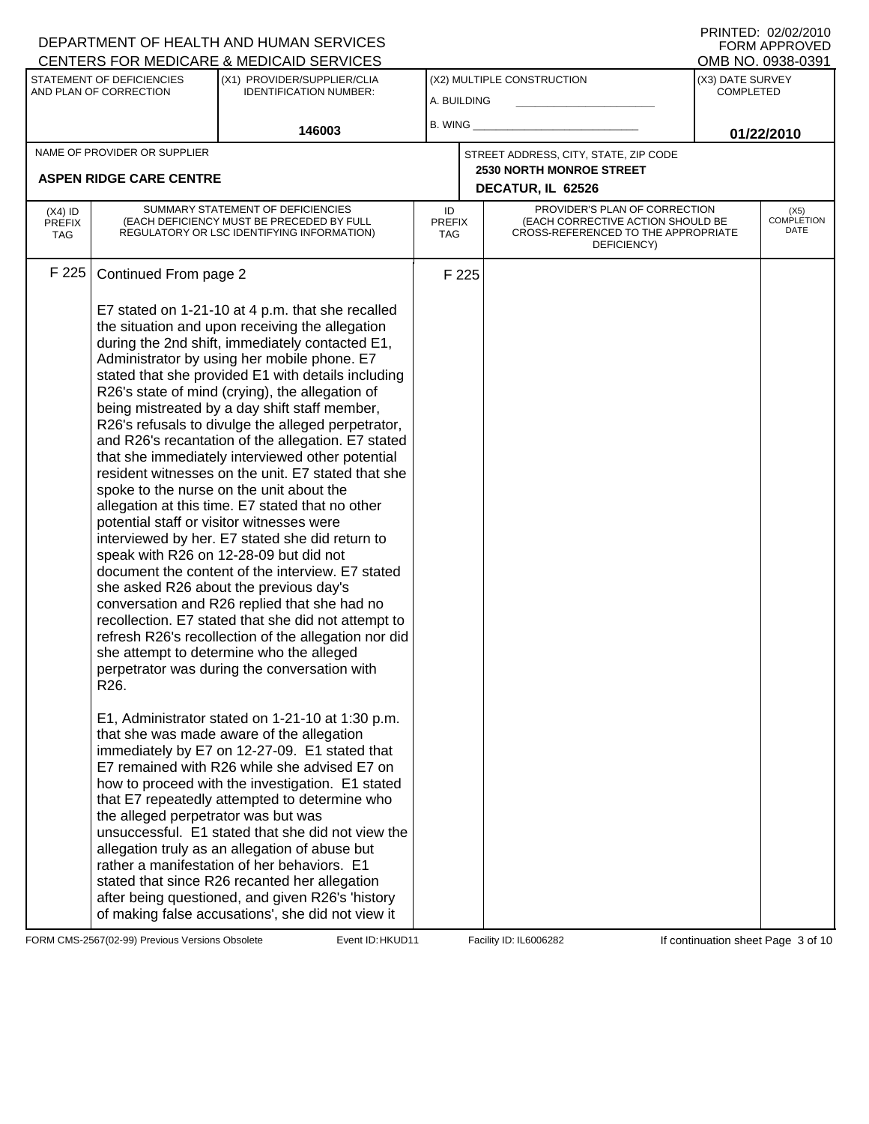|                                          |                                                                                   | DEPARTMENT OF HEALTH AND HUMAN SERVICES<br>CENTERS FOR MEDICARE & MEDICAID SERVICES                                                                                                                                                                                                                                                                                                                                                                                                                                                                                                                                                                                                                                                                                                                                                                                                                                                                                                                                                                                                                                                                                                                                                                                                                                                                                                                                                                                                                                                                                                                                                                                                                                                                        |                            |       |                                                                                                                          |                                      | FNINTED. UZIUZIZUTU<br><b>FORM APPROVED</b><br>OMB NO. 0938-0391 |
|------------------------------------------|-----------------------------------------------------------------------------------|------------------------------------------------------------------------------------------------------------------------------------------------------------------------------------------------------------------------------------------------------------------------------------------------------------------------------------------------------------------------------------------------------------------------------------------------------------------------------------------------------------------------------------------------------------------------------------------------------------------------------------------------------------------------------------------------------------------------------------------------------------------------------------------------------------------------------------------------------------------------------------------------------------------------------------------------------------------------------------------------------------------------------------------------------------------------------------------------------------------------------------------------------------------------------------------------------------------------------------------------------------------------------------------------------------------------------------------------------------------------------------------------------------------------------------------------------------------------------------------------------------------------------------------------------------------------------------------------------------------------------------------------------------------------------------------------------------------------------------------------------------|----------------------------|-------|--------------------------------------------------------------------------------------------------------------------------|--------------------------------------|------------------------------------------------------------------|
|                                          | STATEMENT OF DEFICIENCIES<br>AND PLAN OF CORRECTION                               | (X1) PROVIDER/SUPPLIER/CLIA<br><b>IDENTIFICATION NUMBER:</b>                                                                                                                                                                                                                                                                                                                                                                                                                                                                                                                                                                                                                                                                                                                                                                                                                                                                                                                                                                                                                                                                                                                                                                                                                                                                                                                                                                                                                                                                                                                                                                                                                                                                                               | A. BUILDING                |       | (X2) MULTIPLE CONSTRUCTION                                                                                               | (X3) DATE SURVEY<br><b>COMPLETED</b> |                                                                  |
|                                          |                                                                                   | 146003                                                                                                                                                                                                                                                                                                                                                                                                                                                                                                                                                                                                                                                                                                                                                                                                                                                                                                                                                                                                                                                                                                                                                                                                                                                                                                                                                                                                                                                                                                                                                                                                                                                                                                                                                     | B. WING                    |       |                                                                                                                          |                                      | 01/22/2010                                                       |
|                                          | NAME OF PROVIDER OR SUPPLIER<br><b>ASPEN RIDGE CARE CENTRE</b>                    |                                                                                                                                                                                                                                                                                                                                                                                                                                                                                                                                                                                                                                                                                                                                                                                                                                                                                                                                                                                                                                                                                                                                                                                                                                                                                                                                                                                                                                                                                                                                                                                                                                                                                                                                                            |                            |       | STREET ADDRESS, CITY, STATE, ZIP CODE<br><b>2530 NORTH MONROE STREET</b><br>DECATUR, IL 62526                            |                                      |                                                                  |
| $(X4)$ ID<br><b>PREFIX</b><br><b>TAG</b> |                                                                                   | SUMMARY STATEMENT OF DEFICIENCIES<br>(EACH DEFICIENCY MUST BE PRECEDED BY FULL<br>REGULATORY OR LSC IDENTIFYING INFORMATION)                                                                                                                                                                                                                                                                                                                                                                                                                                                                                                                                                                                                                                                                                                                                                                                                                                                                                                                                                                                                                                                                                                                                                                                                                                                                                                                                                                                                                                                                                                                                                                                                                               | ID<br><b>PREFIX</b><br>TAG |       | PROVIDER'S PLAN OF CORRECTION<br>(EACH CORRECTIVE ACTION SHOULD BE<br>CROSS-REFERENCED TO THE APPROPRIATE<br>DEFICIENCY) |                                      | (X5)<br><b>COMPLETION</b><br>DATE                                |
| F 225                                    | Continued From page 2<br>R <sub>26</sub> .<br>the alleged perpetrator was but was | E7 stated on 1-21-10 at 4 p.m. that she recalled<br>the situation and upon receiving the allegation<br>during the 2nd shift, immediately contacted E1,<br>Administrator by using her mobile phone. E7<br>stated that she provided E1 with details including<br>R26's state of mind (crying), the allegation of<br>being mistreated by a day shift staff member,<br>R26's refusals to divulge the alleged perpetrator,<br>and R26's recantation of the allegation. E7 stated<br>that she immediately interviewed other potential<br>resident witnesses on the unit. E7 stated that she<br>spoke to the nurse on the unit about the<br>allegation at this time. E7 stated that no other<br>potential staff or visitor witnesses were<br>interviewed by her. E7 stated she did return to<br>speak with R26 on 12-28-09 but did not<br>document the content of the interview. E7 stated<br>she asked R26 about the previous day's<br>conversation and R26 replied that she had no<br>recollection. E7 stated that she did not attempt to<br>refresh R26's recollection of the allegation nor did<br>she attempt to determine who the alleged<br>perpetrator was during the conversation with<br>E1, Administrator stated on 1-21-10 at 1:30 p.m.<br>that she was made aware of the allegation<br>immediately by E7 on 12-27-09. E1 stated that<br>E7 remained with R26 while she advised E7 on<br>how to proceed with the investigation. E1 stated<br>that E7 repeatedly attempted to determine who<br>unsuccessful. E1 stated that she did not view the<br>allegation truly as an allegation of abuse but<br>rather a manifestation of her behaviors. E1<br>stated that since R26 recanted her allegation<br>after being questioned, and given R26's 'history |                            | F 225 |                                                                                                                          |                                      |                                                                  |
|                                          |                                                                                   | of making false accusations', she did not view it                                                                                                                                                                                                                                                                                                                                                                                                                                                                                                                                                                                                                                                                                                                                                                                                                                                                                                                                                                                                                                                                                                                                                                                                                                                                                                                                                                                                                                                                                                                                                                                                                                                                                                          |                            |       |                                                                                                                          |                                      |                                                                  |

FORM CMS-2567(02-99) Previous Versions Obsolete Event ID: HKUD11 Facility ID: IL6006282 If continuation sheet Page 3 of 10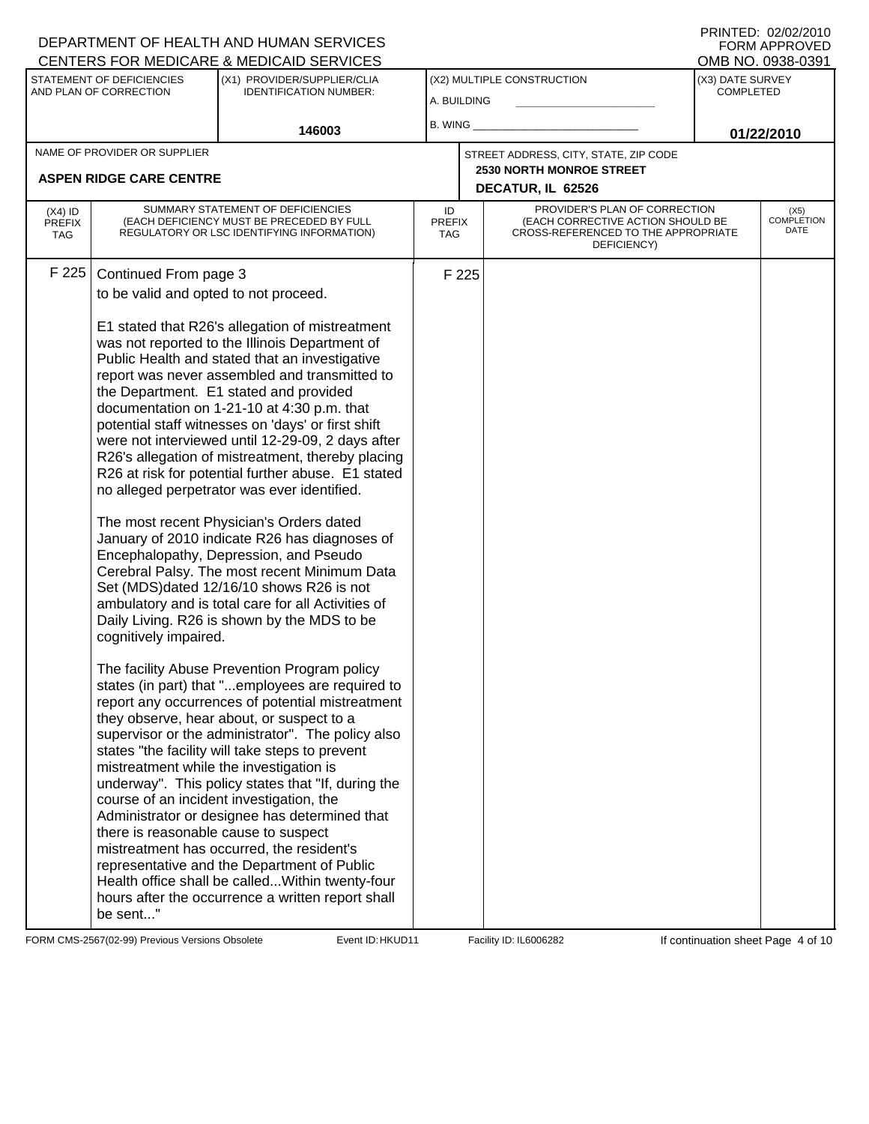|                                          |                                                                                                                                                                                        | DEPARTMENT OF HEALTH AND HUMAN SERVICES<br>CENTERS FOR MEDICARE & MEDICAID SERVICES                                                                                                                                                                                                                                                                                                                                                                                                                                                                                                                                                                                                                                                                                                                                                                                                                                                                                                                                                                                                                                                                                                                                                                                                                                                                                                                                                                                                                                                                                            |                            |       |                                                                                                                          |                                      | FNINIED. UZUZIZUIU<br><b>FORM APPROVED</b><br>OMB NO. 0938-0391 |
|------------------------------------------|----------------------------------------------------------------------------------------------------------------------------------------------------------------------------------------|--------------------------------------------------------------------------------------------------------------------------------------------------------------------------------------------------------------------------------------------------------------------------------------------------------------------------------------------------------------------------------------------------------------------------------------------------------------------------------------------------------------------------------------------------------------------------------------------------------------------------------------------------------------------------------------------------------------------------------------------------------------------------------------------------------------------------------------------------------------------------------------------------------------------------------------------------------------------------------------------------------------------------------------------------------------------------------------------------------------------------------------------------------------------------------------------------------------------------------------------------------------------------------------------------------------------------------------------------------------------------------------------------------------------------------------------------------------------------------------------------------------------------------------------------------------------------------|----------------------------|-------|--------------------------------------------------------------------------------------------------------------------------|--------------------------------------|-----------------------------------------------------------------|
|                                          | STATEMENT OF DEFICIENCIES<br>AND PLAN OF CORRECTION                                                                                                                                    | (X1) PROVIDER/SUPPLIER/CLIA<br><b>IDENTIFICATION NUMBER:</b>                                                                                                                                                                                                                                                                                                                                                                                                                                                                                                                                                                                                                                                                                                                                                                                                                                                                                                                                                                                                                                                                                                                                                                                                                                                                                                                                                                                                                                                                                                                   | A. BUILDING                |       | (X2) MULTIPLE CONSTRUCTION                                                                                               | (X3) DATE SURVEY<br><b>COMPLETED</b> |                                                                 |
|                                          |                                                                                                                                                                                        | 146003                                                                                                                                                                                                                                                                                                                                                                                                                                                                                                                                                                                                                                                                                                                                                                                                                                                                                                                                                                                                                                                                                                                                                                                                                                                                                                                                                                                                                                                                                                                                                                         | B. WING                    |       |                                                                                                                          |                                      | 01/22/2010                                                      |
|                                          | NAME OF PROVIDER OR SUPPLIER<br><b>ASPEN RIDGE CARE CENTRE</b>                                                                                                                         |                                                                                                                                                                                                                                                                                                                                                                                                                                                                                                                                                                                                                                                                                                                                                                                                                                                                                                                                                                                                                                                                                                                                                                                                                                                                                                                                                                                                                                                                                                                                                                                |                            |       | STREET ADDRESS, CITY, STATE, ZIP CODE<br><b>2530 NORTH MONROE STREET</b><br>DECATUR, IL 62526                            |                                      |                                                                 |
| $(X4)$ ID<br><b>PREFIX</b><br><b>TAG</b> |                                                                                                                                                                                        | SUMMARY STATEMENT OF DEFICIENCIES<br>(EACH DEFICIENCY MUST BE PRECEDED BY FULL<br>REGULATORY OR LSC IDENTIFYING INFORMATION)                                                                                                                                                                                                                                                                                                                                                                                                                                                                                                                                                                                                                                                                                                                                                                                                                                                                                                                                                                                                                                                                                                                                                                                                                                                                                                                                                                                                                                                   | ID<br><b>PREFIX</b><br>TAG |       | PROVIDER'S PLAN OF CORRECTION<br>(EACH CORRECTIVE ACTION SHOULD BE<br>CROSS-REFERENCED TO THE APPROPRIATE<br>DEFICIENCY) |                                      | (X5)<br><b>COMPLETION</b><br>DATE                               |
| F 225                                    | Continued From page 3<br>to be valid and opted to not proceed.<br>cognitively impaired.<br>mistreatment while the investigation is<br>there is reasonable cause to suspect<br>be sent" | E1 stated that R26's allegation of mistreatment<br>was not reported to the Illinois Department of<br>Public Health and stated that an investigative<br>report was never assembled and transmitted to<br>the Department. E1 stated and provided<br>documentation on 1-21-10 at 4:30 p.m. that<br>potential staff witnesses on 'days' or first shift<br>were not interviewed until 12-29-09, 2 days after<br>R26's allegation of mistreatment, thereby placing<br>R26 at risk for potential further abuse. E1 stated<br>no alleged perpetrator was ever identified.<br>The most recent Physician's Orders dated<br>January of 2010 indicate R26 has diagnoses of<br>Encephalopathy, Depression, and Pseudo<br>Cerebral Palsy. The most recent Minimum Data<br>Set (MDS)dated 12/16/10 shows R26 is not<br>ambulatory and is total care for all Activities of<br>Daily Living. R26 is shown by the MDS to be<br>The facility Abuse Prevention Program policy<br>states (in part) that "employees are required to<br>report any occurrences of potential mistreatment<br>they observe, hear about, or suspect to a<br>supervisor or the administrator". The policy also<br>states "the facility will take steps to prevent<br>underway". This policy states that "If, during the<br>course of an incident investigation, the<br>Administrator or designee has determined that<br>mistreatment has occurred, the resident's<br>representative and the Department of Public<br>Health office shall be called Within twenty-four<br>hours after the occurrence a written report shall |                            | F 225 |                                                                                                                          |                                      |                                                                 |

FORM CMS-2567(02-99) Previous Versions Obsolete Event ID: HKUD11 Facility ID: IL6006282 If continuation sheet Page 4 of 10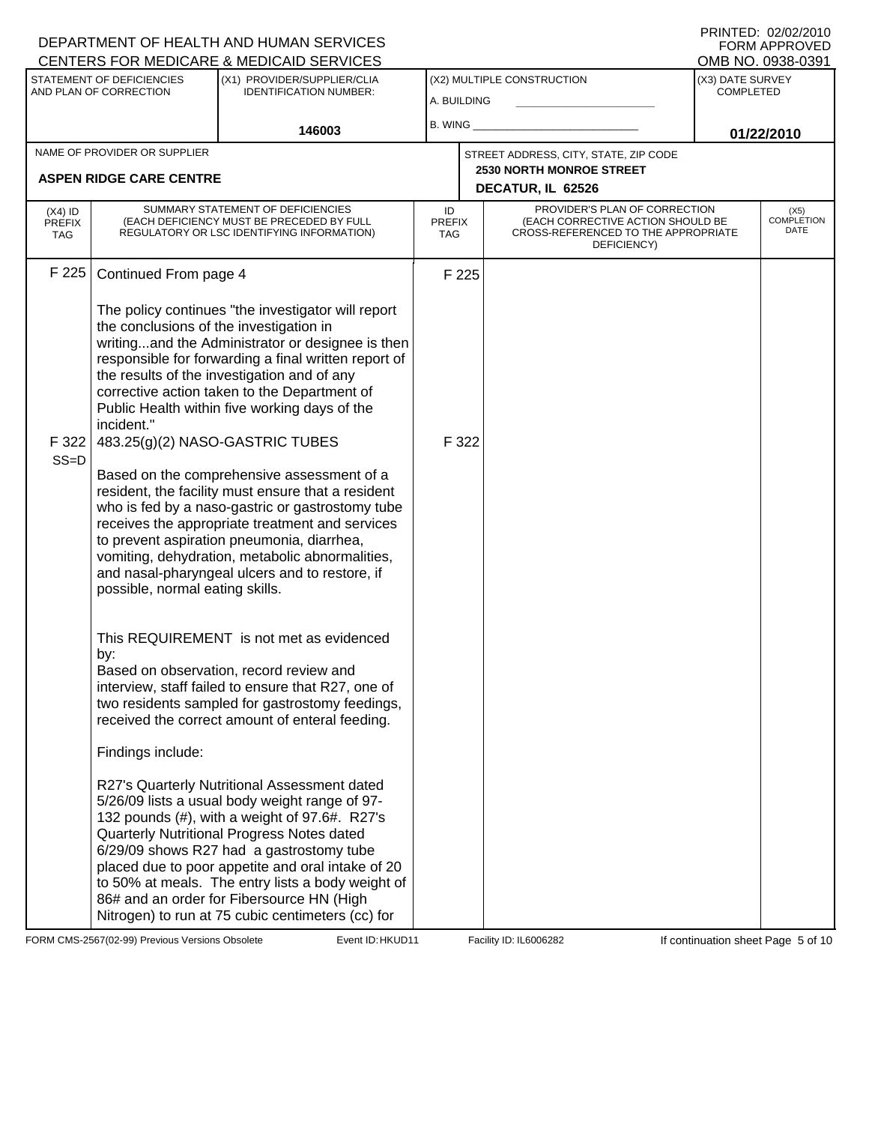|                                          |                                                                                          | DEPARTMENT OF HEALTH AND HUMAN SERVICES<br>CENTERS FOR MEDICARE & MEDICAID SERVICES                                                                                                                                                                                                                                                                                                                                                                                                                                                                                                                                                                                                                             |                            |                                                                                                                          |                                      | FORM APPROVED<br>OMB NO. 0938-0391 |
|------------------------------------------|------------------------------------------------------------------------------------------|-----------------------------------------------------------------------------------------------------------------------------------------------------------------------------------------------------------------------------------------------------------------------------------------------------------------------------------------------------------------------------------------------------------------------------------------------------------------------------------------------------------------------------------------------------------------------------------------------------------------------------------------------------------------------------------------------------------------|----------------------------|--------------------------------------------------------------------------------------------------------------------------|--------------------------------------|------------------------------------|
|                                          | STATEMENT OF DEFICIENCIES<br>AND PLAN OF CORRECTION                                      | (X1) PROVIDER/SUPPLIER/CLIA<br><b>IDENTIFICATION NUMBER:</b>                                                                                                                                                                                                                                                                                                                                                                                                                                                                                                                                                                                                                                                    | A. BUILDING                | (X2) MULTIPLE CONSTRUCTION                                                                                               | (X3) DATE SURVEY<br><b>COMPLETED</b> |                                    |
|                                          |                                                                                          | 146003                                                                                                                                                                                                                                                                                                                                                                                                                                                                                                                                                                                                                                                                                                          | B. WING                    |                                                                                                                          |                                      | 01/22/2010                         |
|                                          | NAME OF PROVIDER OR SUPPLIER                                                             |                                                                                                                                                                                                                                                                                                                                                                                                                                                                                                                                                                                                                                                                                                                 |                            | STREET ADDRESS, CITY, STATE, ZIP CODE                                                                                    |                                      |                                    |
|                                          | <b>ASPEN RIDGE CARE CENTRE</b>                                                           |                                                                                                                                                                                                                                                                                                                                                                                                                                                                                                                                                                                                                                                                                                                 |                            | 2530 NORTH MONROE STREET<br>DECATUR, IL 62526                                                                            |                                      |                                    |
| $(X4)$ ID<br><b>PREFIX</b><br><b>TAG</b> |                                                                                          | SUMMARY STATEMENT OF DEFICIENCIES<br>(EACH DEFICIENCY MUST BE PRECEDED BY FULL<br>REGULATORY OR LSC IDENTIFYING INFORMATION)                                                                                                                                                                                                                                                                                                                                                                                                                                                                                                                                                                                    | ID<br><b>PREFIX</b><br>TAG | PROVIDER'S PLAN OF CORRECTION<br>(EACH CORRECTIVE ACTION SHOULD BE<br>CROSS-REFERENCED TO THE APPROPRIATE<br>DEFICIENCY) |                                      | (X5)<br><b>COMPLETION</b><br>DATE  |
| F 225                                    | Continued From page 4                                                                    |                                                                                                                                                                                                                                                                                                                                                                                                                                                                                                                                                                                                                                                                                                                 | F 225                      |                                                                                                                          |                                      |                                    |
| F 322<br>$SS=D$                          | the conclusions of the investigation in<br>incident."<br>possible, normal eating skills. | The policy continues "the investigator will report<br>writingand the Administrator or designee is then<br>responsible for forwarding a final written report of<br>the results of the investigation and of any<br>corrective action taken to the Department of<br>Public Health within five working days of the<br>483.25(g)(2) NASO-GASTRIC TUBES<br>Based on the comprehensive assessment of a<br>resident, the facility must ensure that a resident<br>who is fed by a naso-gastric or gastrostomy tube<br>receives the appropriate treatment and services<br>to prevent aspiration pneumonia, diarrhea,<br>vomiting, dehydration, metabolic abnormalities,<br>and nasal-pharyngeal ulcers and to restore, if | F 322                      |                                                                                                                          |                                      |                                    |
|                                          | by:<br>Findings include:                                                                 | This REQUIREMENT is not met as evidenced<br>Based on observation, record review and<br>interview, staff failed to ensure that R27, one of<br>two residents sampled for gastrostomy feedings,<br>received the correct amount of enteral feeding.<br>R27's Quarterly Nutritional Assessment dated<br>5/26/09 lists a usual body weight range of 97-<br>132 pounds (#), with a weight of 97.6#. R27's<br>Quarterly Nutritional Progress Notes dated<br>6/29/09 shows R27 had a gastrostomy tube<br>placed due to poor appetite and oral intake of 20<br>to 50% at meals. The entry lists a body weight of<br>86# and an order for Fibersource HN (High<br>Nitrogen) to run at 75 cubic centimeters (cc) for        |                            |                                                                                                                          |                                      |                                    |

FORM CMS-2567(02-99) Previous Versions Obsolete Event ID: HKUD11 Facility ID: IL6006282 If continuation sheet Page 5 of 10

DEPARTMENT OF HEALTH AND HUMAN SERVICES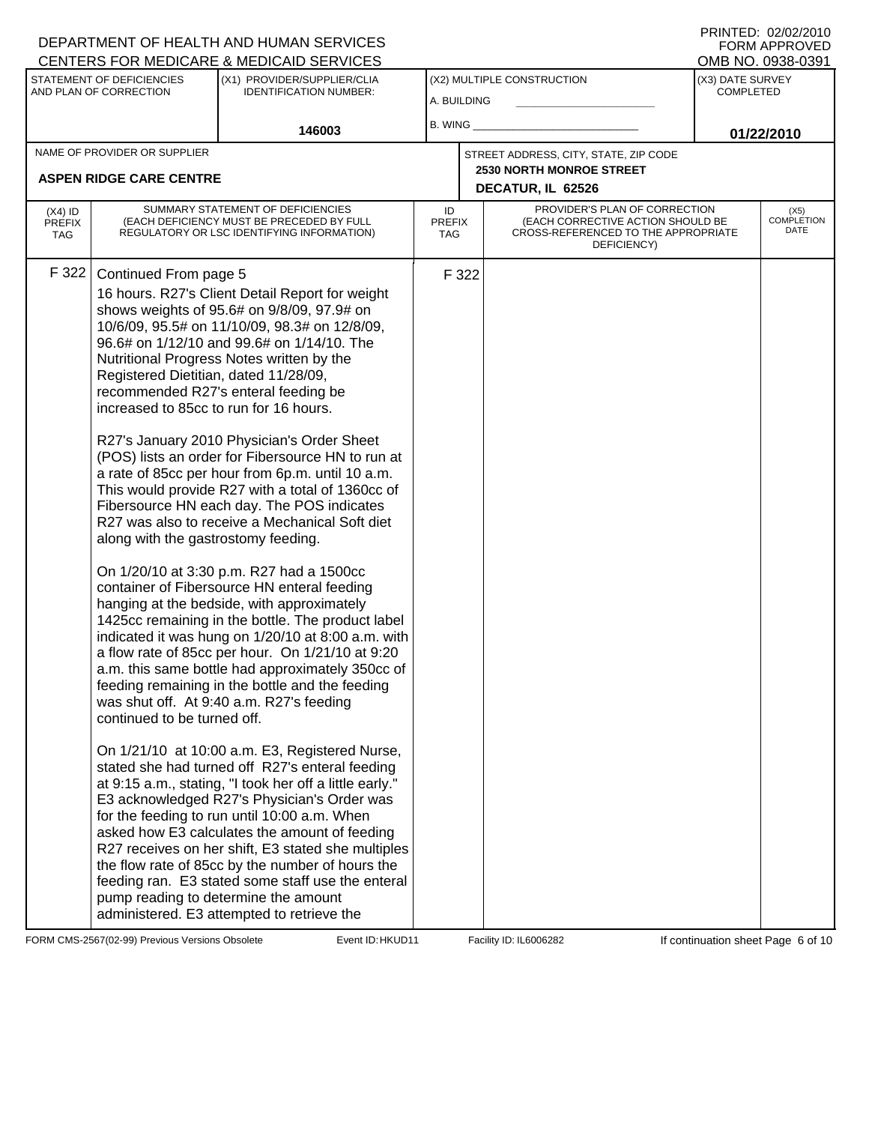|                                   |                                                                                                                                                                                | DEPARTMENT OF HEALTH AND HUMAN SERVICES<br>CENTERS FOR MEDICARE & MEDICAID SERVICES                                                                                                                                                                                                                                                                                                                                                                                                                                                                                                                                                                                                                                                                                                                                                                                                                                                                                                                                                                                                                                                                                                                                                                                                                                                                                                                                                                                                                                                                                                                                          |                                   |       |                                                                                                                          |                                      | FORM APPROVED<br>OMB NO. 0938-0391 |  |
|-----------------------------------|--------------------------------------------------------------------------------------------------------------------------------------------------------------------------------|------------------------------------------------------------------------------------------------------------------------------------------------------------------------------------------------------------------------------------------------------------------------------------------------------------------------------------------------------------------------------------------------------------------------------------------------------------------------------------------------------------------------------------------------------------------------------------------------------------------------------------------------------------------------------------------------------------------------------------------------------------------------------------------------------------------------------------------------------------------------------------------------------------------------------------------------------------------------------------------------------------------------------------------------------------------------------------------------------------------------------------------------------------------------------------------------------------------------------------------------------------------------------------------------------------------------------------------------------------------------------------------------------------------------------------------------------------------------------------------------------------------------------------------------------------------------------------------------------------------------------|-----------------------------------|-------|--------------------------------------------------------------------------------------------------------------------------|--------------------------------------|------------------------------------|--|
|                                   | STATEMENT OF DEFICIENCIES<br>AND PLAN OF CORRECTION                                                                                                                            | (X1) PROVIDER/SUPPLIER/CLIA<br><b>IDENTIFICATION NUMBER:</b>                                                                                                                                                                                                                                                                                                                                                                                                                                                                                                                                                                                                                                                                                                                                                                                                                                                                                                                                                                                                                                                                                                                                                                                                                                                                                                                                                                                                                                                                                                                                                                 | A. BUILDING                       |       | (X2) MULTIPLE CONSTRUCTION                                                                                               | (X3) DATE SURVEY<br><b>COMPLETED</b> |                                    |  |
|                                   |                                                                                                                                                                                | 146003                                                                                                                                                                                                                                                                                                                                                                                                                                                                                                                                                                                                                                                                                                                                                                                                                                                                                                                                                                                                                                                                                                                                                                                                                                                                                                                                                                                                                                                                                                                                                                                                                       | B. WING_                          |       |                                                                                                                          |                                      | 01/22/2010                         |  |
|                                   | NAME OF PROVIDER OR SUPPLIER                                                                                                                                                   |                                                                                                                                                                                                                                                                                                                                                                                                                                                                                                                                                                                                                                                                                                                                                                                                                                                                                                                                                                                                                                                                                                                                                                                                                                                                                                                                                                                                                                                                                                                                                                                                                              |                                   |       | STREET ADDRESS, CITY, STATE, ZIP CODE                                                                                    |                                      |                                    |  |
|                                   | <b>ASPEN RIDGE CARE CENTRE</b>                                                                                                                                                 |                                                                                                                                                                                                                                                                                                                                                                                                                                                                                                                                                                                                                                                                                                                                                                                                                                                                                                                                                                                                                                                                                                                                                                                                                                                                                                                                                                                                                                                                                                                                                                                                                              |                                   |       | <b>2530 NORTH MONROE STREET</b><br>DECATUR, IL 62526                                                                     |                                      |                                    |  |
| $(X4)$ ID<br><b>PREFIX</b><br>TAG |                                                                                                                                                                                | SUMMARY STATEMENT OF DEFICIENCIES<br>(EACH DEFICIENCY MUST BE PRECEDED BY FULL<br>REGULATORY OR LSC IDENTIFYING INFORMATION)                                                                                                                                                                                                                                                                                                                                                                                                                                                                                                                                                                                                                                                                                                                                                                                                                                                                                                                                                                                                                                                                                                                                                                                                                                                                                                                                                                                                                                                                                                 | ID<br><b>PREFIX</b><br><b>TAG</b> |       | PROVIDER'S PLAN OF CORRECTION<br>(EACH CORRECTIVE ACTION SHOULD BE<br>CROSS-REFERENCED TO THE APPROPRIATE<br>DEFICIENCY) |                                      | (X5)<br><b>COMPLETION</b><br>DATE  |  |
| F 322                             | Continued From page 5<br>Registered Dietitian, dated 11/28/09,<br>increased to 85cc to run for 16 hours.<br>along with the gastrostomy feeding.<br>continued to be turned off. | 16 hours. R27's Client Detail Report for weight<br>shows weights of 95.6# on 9/8/09, 97.9# on<br>10/6/09, 95.5# on 11/10/09, 98.3# on 12/8/09,<br>96.6# on 1/12/10 and 99.6# on 1/14/10. The<br>Nutritional Progress Notes written by the<br>recommended R27's enteral feeding be<br>R27's January 2010 Physician's Order Sheet<br>(POS) lists an order for Fibersource HN to run at<br>a rate of 85cc per hour from 6p.m. until 10 a.m.<br>This would provide R27 with a total of 1360cc of<br>Fibersource HN each day. The POS indicates<br>R27 was also to receive a Mechanical Soft diet<br>On 1/20/10 at 3:30 p.m. R27 had a 1500cc<br>container of Fibersource HN enteral feeding<br>hanging at the bedside, with approximately<br>1425cc remaining in the bottle. The product label<br>indicated it was hung on 1/20/10 at 8:00 a.m. with<br>a flow rate of 85cc per hour. On 1/21/10 at 9:20<br>a.m. this same bottle had approximately 350cc of<br>feeding remaining in the bottle and the feeding<br>was shut off. At 9:40 a.m. R27's feeding<br>On 1/21/10 at 10:00 a.m. E3, Registered Nurse,<br>stated she had turned off R27's enteral feeding<br>at 9:15 a.m., stating, "I took her off a little early."<br>E3 acknowledged R27's Physician's Order was<br>for the feeding to run until 10:00 a.m. When<br>asked how E3 calculates the amount of feeding<br>R27 receives on her shift, E3 stated she multiples<br>the flow rate of 85cc by the number of hours the<br>feeding ran. E3 stated some staff use the enteral<br>pump reading to determine the amount<br>administered. E3 attempted to retrieve the |                                   | F 322 |                                                                                                                          |                                      |                                    |  |

FORM CMS-2567(02-99) Previous Versions Obsolete Event ID: HKUD11 Facility ID: IL6006282 If continuation sheet Page 6 of 10

DEPARTMENT OF HEALTH AND HUMAN SERVICES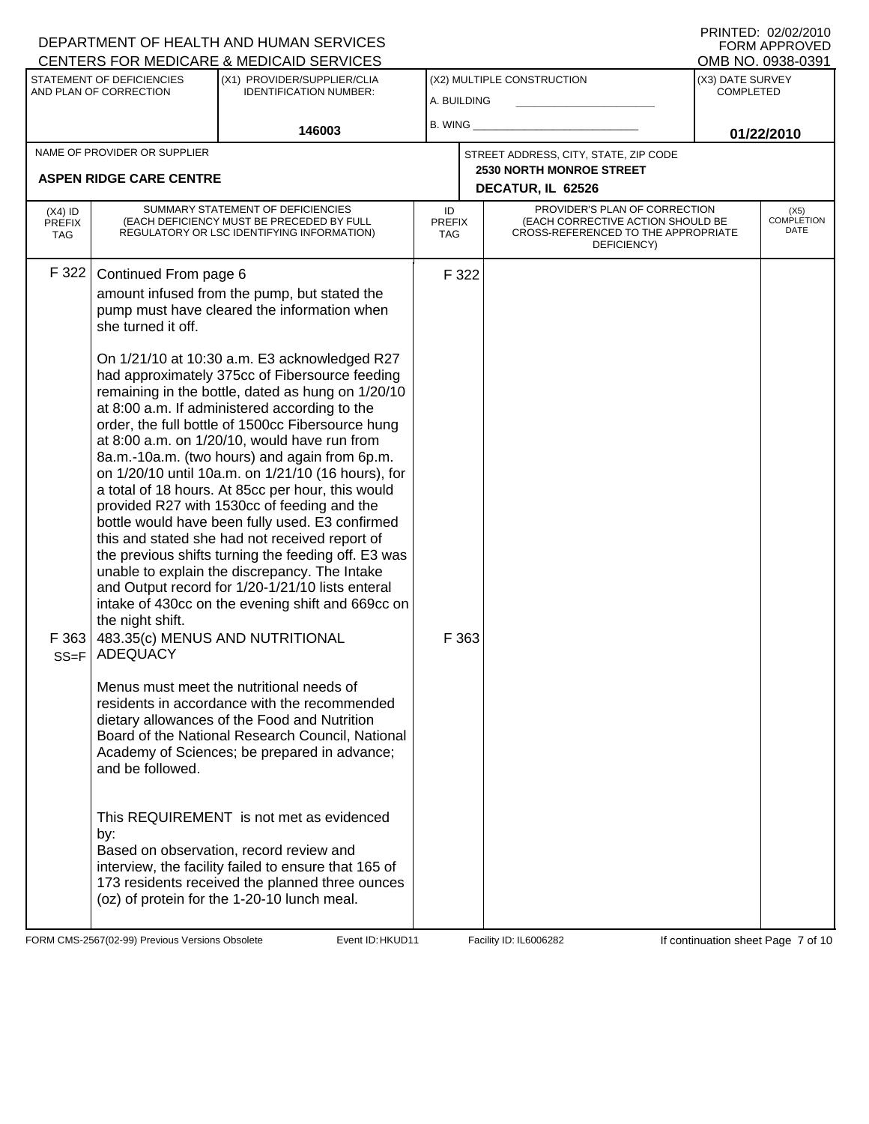|                                          |                                                     | DEPARTMENT OF HEALTH AND HUMAN SERVICES<br><b>CENTERS FOR MEDICARE &amp; MEDICAID SERVICES</b>                                                                                                                                                                                                                                                                                                                                                                                                                                                                                                                                                                                                                                                                              |                                   |       |                                                                                                                          |                                      | FNINIEU. UZIUZIZUTU<br><b>FORM APPROVED</b><br>OMB NO. 0938-0391 |
|------------------------------------------|-----------------------------------------------------|-----------------------------------------------------------------------------------------------------------------------------------------------------------------------------------------------------------------------------------------------------------------------------------------------------------------------------------------------------------------------------------------------------------------------------------------------------------------------------------------------------------------------------------------------------------------------------------------------------------------------------------------------------------------------------------------------------------------------------------------------------------------------------|-----------------------------------|-------|--------------------------------------------------------------------------------------------------------------------------|--------------------------------------|------------------------------------------------------------------|
|                                          | STATEMENT OF DEFICIENCIES<br>AND PLAN OF CORRECTION | (X1) PROVIDER/SUPPLIER/CLIA<br><b>IDENTIFICATION NUMBER:</b>                                                                                                                                                                                                                                                                                                                                                                                                                                                                                                                                                                                                                                                                                                                | A. BUILDING                       |       | (X2) MULTIPLE CONSTRUCTION                                                                                               | (X3) DATE SURVEY<br><b>COMPLETED</b> |                                                                  |
|                                          |                                                     | 146003                                                                                                                                                                                                                                                                                                                                                                                                                                                                                                                                                                                                                                                                                                                                                                      | B. WING                           |       |                                                                                                                          |                                      | 01/22/2010                                                       |
|                                          | NAME OF PROVIDER OR SUPPLIER                        |                                                                                                                                                                                                                                                                                                                                                                                                                                                                                                                                                                                                                                                                                                                                                                             |                                   |       | STREET ADDRESS, CITY, STATE, ZIP CODE<br><b>2530 NORTH MONROE STREET</b>                                                 |                                      |                                                                  |
|                                          | <b>ASPEN RIDGE CARE CENTRE</b>                      |                                                                                                                                                                                                                                                                                                                                                                                                                                                                                                                                                                                                                                                                                                                                                                             |                                   |       | DECATUR, IL 62526                                                                                                        |                                      |                                                                  |
| $(X4)$ ID<br><b>PREFIX</b><br><b>TAG</b> |                                                     | SUMMARY STATEMENT OF DEFICIENCIES<br>(EACH DEFICIENCY MUST BE PRECEDED BY FULL<br>REGULATORY OR LSC IDENTIFYING INFORMATION)                                                                                                                                                                                                                                                                                                                                                                                                                                                                                                                                                                                                                                                | ID<br><b>PREFIX</b><br><b>TAG</b> |       | PROVIDER'S PLAN OF CORRECTION<br>(EACH CORRECTIVE ACTION SHOULD BE<br>CROSS-REFERENCED TO THE APPROPRIATE<br>DEFICIENCY) |                                      | (X5)<br><b>COMPLETION</b><br>DATE                                |
| F 322                                    | Continued From page 6<br>she turned it off.         | amount infused from the pump, but stated the<br>pump must have cleared the information when<br>On 1/21/10 at 10:30 a.m. E3 acknowledged R27<br>had approximately 375cc of Fibersource feeding                                                                                                                                                                                                                                                                                                                                                                                                                                                                                                                                                                               |                                   | F 322 |                                                                                                                          |                                      |                                                                  |
| F363<br>$SS = F$                         | the night shift.<br><b>ADEQUACY</b>                 | remaining in the bottle, dated as hung on 1/20/10<br>at 8:00 a.m. If administered according to the<br>order, the full bottle of 1500cc Fibersource hung<br>at 8:00 a.m. on 1/20/10, would have run from<br>8a.m.-10a.m. (two hours) and again from 6p.m.<br>on 1/20/10 until 10a.m. on 1/21/10 (16 hours), for<br>a total of 18 hours. At 85cc per hour, this would<br>provided R27 with 1530cc of feeding and the<br>bottle would have been fully used. E3 confirmed<br>this and stated she had not received report of<br>the previous shifts turning the feeding off. E3 was<br>unable to explain the discrepancy. The Intake<br>and Output record for 1/20-1/21/10 lists enteral<br>intake of 430cc on the evening shift and 669cc on<br>483.35(c) MENUS AND NUTRITIONAL |                                   | F 363 |                                                                                                                          |                                      |                                                                  |
|                                          | and be followed.                                    | Menus must meet the nutritional needs of<br>residents in accordance with the recommended<br>dietary allowances of the Food and Nutrition<br>Board of the National Research Council, National<br>Academy of Sciences; be prepared in advance;                                                                                                                                                                                                                                                                                                                                                                                                                                                                                                                                |                                   |       |                                                                                                                          |                                      |                                                                  |
|                                          | by:                                                 | This REQUIREMENT is not met as evidenced<br>Based on observation, record review and<br>interview, the facility failed to ensure that 165 of<br>173 residents received the planned three ounces<br>(oz) of protein for the 1-20-10 lunch meal.                                                                                                                                                                                                                                                                                                                                                                                                                                                                                                                               |                                   |       |                                                                                                                          |                                      |                                                                  |

FORM CMS-2567(02-99) Previous Versions Obsolete Event ID: HKUD11 Facility ID: IL6006282 If continuation sheet Page 7 of 10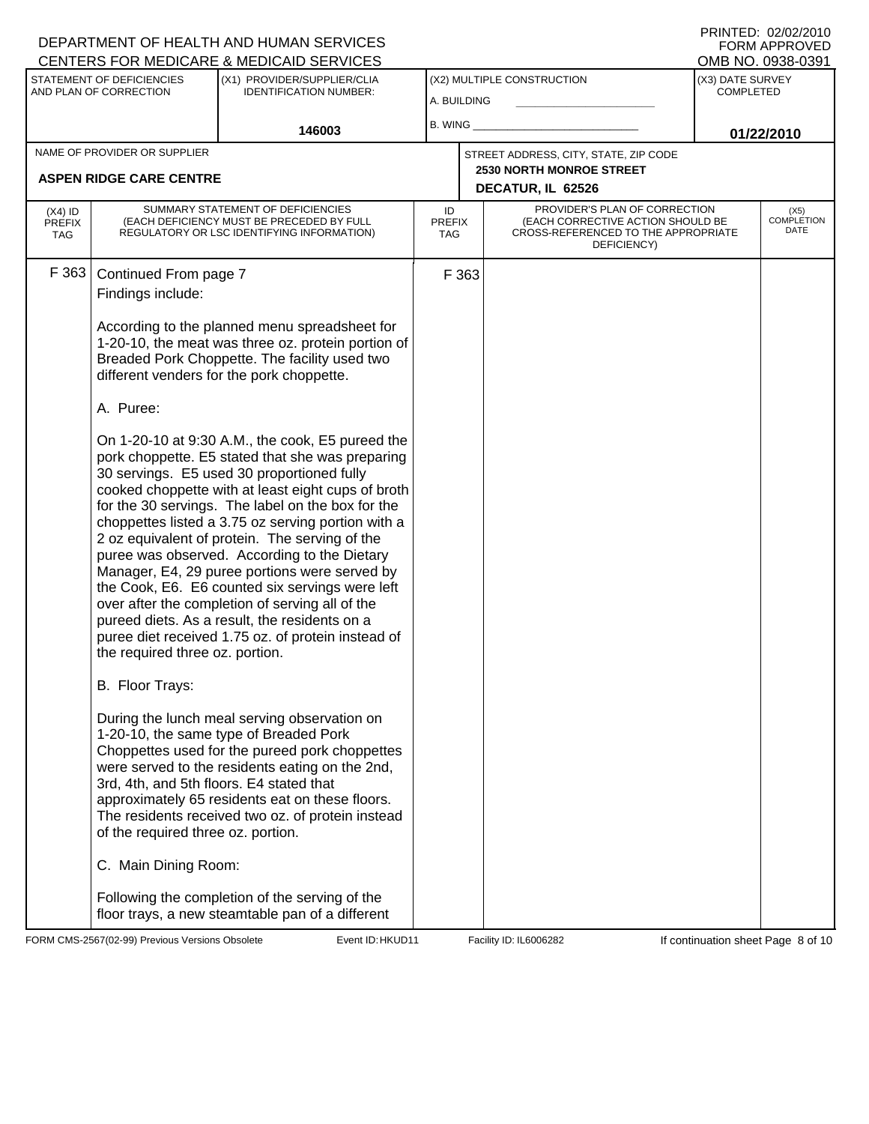|                                          |                                                                                                                                                                                                                         | DEPARTMENT OF HEALTH AND HUMAN SERVICES<br>CENTERS FOR MEDICARE & MEDICAID SERVICES                                                                                                                                                                                                                                                                                                                                                                                                                                                                                                                                                                                                                                                                                                                                                                                                                                                                                                                                                                                                                                                                                                                                                                                                                   |                                   |                                                                                                                          |                                      | FNINTED. UZ/UZ/ZUTU<br><b>FORM APPROVED</b><br>OMB NO. 0938-0391 |
|------------------------------------------|-------------------------------------------------------------------------------------------------------------------------------------------------------------------------------------------------------------------------|-------------------------------------------------------------------------------------------------------------------------------------------------------------------------------------------------------------------------------------------------------------------------------------------------------------------------------------------------------------------------------------------------------------------------------------------------------------------------------------------------------------------------------------------------------------------------------------------------------------------------------------------------------------------------------------------------------------------------------------------------------------------------------------------------------------------------------------------------------------------------------------------------------------------------------------------------------------------------------------------------------------------------------------------------------------------------------------------------------------------------------------------------------------------------------------------------------------------------------------------------------------------------------------------------------|-----------------------------------|--------------------------------------------------------------------------------------------------------------------------|--------------------------------------|------------------------------------------------------------------|
|                                          | STATEMENT OF DEFICIENCIES<br>AND PLAN OF CORRECTION                                                                                                                                                                     | (X1) PROVIDER/SUPPLIER/CLIA<br><b>IDENTIFICATION NUMBER:</b>                                                                                                                                                                                                                                                                                                                                                                                                                                                                                                                                                                                                                                                                                                                                                                                                                                                                                                                                                                                                                                                                                                                                                                                                                                          | A. BUILDING                       | (X2) MULTIPLE CONSTRUCTION                                                                                               | (X3) DATE SURVEY<br><b>COMPLETED</b> |                                                                  |
|                                          |                                                                                                                                                                                                                         | 146003                                                                                                                                                                                                                                                                                                                                                                                                                                                                                                                                                                                                                                                                                                                                                                                                                                                                                                                                                                                                                                                                                                                                                                                                                                                                                                | B. WING                           |                                                                                                                          |                                      | 01/22/2010                                                       |
|                                          | NAME OF PROVIDER OR SUPPLIER<br><b>ASPEN RIDGE CARE CENTRE</b>                                                                                                                                                          |                                                                                                                                                                                                                                                                                                                                                                                                                                                                                                                                                                                                                                                                                                                                                                                                                                                                                                                                                                                                                                                                                                                                                                                                                                                                                                       |                                   | STREET ADDRESS, CITY, STATE, ZIP CODE<br><b>2530 NORTH MONROE STREET</b><br>DECATUR, IL 62526                            |                                      |                                                                  |
| $(X4)$ ID<br><b>PREFIX</b><br><b>TAG</b> |                                                                                                                                                                                                                         | SUMMARY STATEMENT OF DEFICIENCIES<br>(EACH DEFICIENCY MUST BE PRECEDED BY FULL<br>REGULATORY OR LSC IDENTIFYING INFORMATION)                                                                                                                                                                                                                                                                                                                                                                                                                                                                                                                                                                                                                                                                                                                                                                                                                                                                                                                                                                                                                                                                                                                                                                          | ID<br><b>PREFIX</b><br><b>TAG</b> | PROVIDER'S PLAN OF CORRECTION<br>(EACH CORRECTIVE ACTION SHOULD BE<br>CROSS-REFERENCED TO THE APPROPRIATE<br>DEFICIENCY) |                                      | (X5)<br><b>COMPLETION</b><br>DATE                                |
| F 363                                    | Continued From page 7<br>Findings include:<br>A. Puree:<br>the required three oz. portion.<br>B. Floor Trays:<br>3rd, 4th, and 5th floors. E4 stated that<br>of the required three oz. portion.<br>C. Main Dining Room: | According to the planned menu spreadsheet for<br>1-20-10, the meat was three oz. protein portion of<br>Breaded Pork Choppette. The facility used two<br>different venders for the pork choppette.<br>On 1-20-10 at 9:30 A.M., the cook, E5 pureed the<br>pork choppette. E5 stated that she was preparing<br>30 servings. E5 used 30 proportioned fully<br>cooked choppette with at least eight cups of broth<br>for the 30 servings. The label on the box for the<br>choppettes listed a 3.75 oz serving portion with a<br>2 oz equivalent of protein. The serving of the<br>puree was observed. According to the Dietary<br>Manager, E4, 29 puree portions were served by<br>the Cook, E6. E6 counted six servings were left<br>over after the completion of serving all of the<br>pureed diets. As a result, the residents on a<br>puree diet received 1.75 oz. of protein instead of<br>During the lunch meal serving observation on<br>1-20-10, the same type of Breaded Pork<br>Choppettes used for the pureed pork choppettes<br>were served to the residents eating on the 2nd,<br>approximately 65 residents eat on these floors.<br>The residents received two oz. of protein instead<br>Following the completion of the serving of the<br>floor trays, a new steamtable pan of a different | F 363                             |                                                                                                                          |                                      |                                                                  |

FORM CMS-2567(02-99) Previous Versions Obsolete Event ID: HKUD11 Facility ID: IL6006282 If continuation sheet Page 8 of 10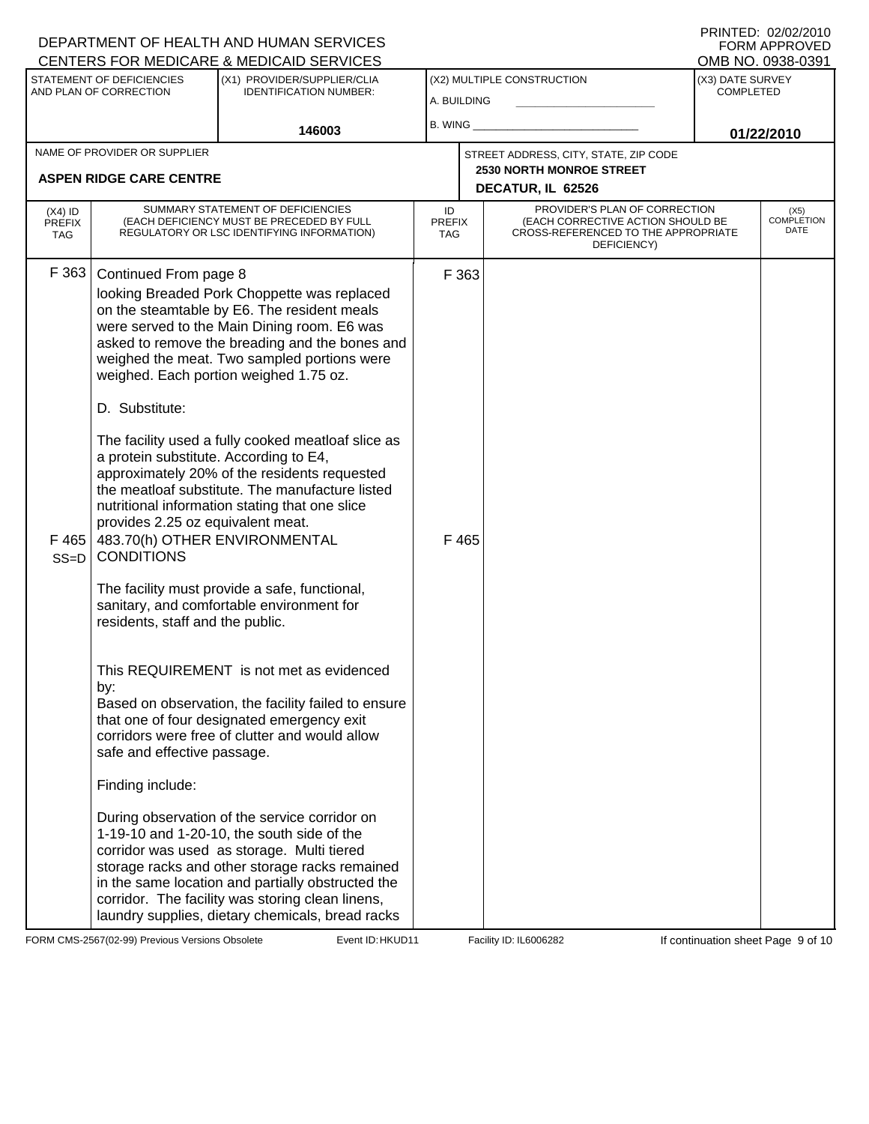|                                          |                                                                                                                                                                                 | DEPARTMENT OF HEALTH AND HUMAN SERVICES<br>CENTERS FOR MEDICARE & MEDICAID SERVICES                                                                                                                                                                                                                                                                                                                                                                                                                                                                                                                                            |                                   |                |                                                                                                                          |                                      | FNINTED. UZIUZIZUTU<br><b>FORM APPROVED</b><br>OMB NO. 0938-0391 |
|------------------------------------------|---------------------------------------------------------------------------------------------------------------------------------------------------------------------------------|--------------------------------------------------------------------------------------------------------------------------------------------------------------------------------------------------------------------------------------------------------------------------------------------------------------------------------------------------------------------------------------------------------------------------------------------------------------------------------------------------------------------------------------------------------------------------------------------------------------------------------|-----------------------------------|----------------|--------------------------------------------------------------------------------------------------------------------------|--------------------------------------|------------------------------------------------------------------|
|                                          | STATEMENT OF DEFICIENCIES<br>AND PLAN OF CORRECTION                                                                                                                             | (X1) PROVIDER/SUPPLIER/CLIA<br><b>IDENTIFICATION NUMBER:</b>                                                                                                                                                                                                                                                                                                                                                                                                                                                                                                                                                                   | A. BUILDING                       |                | (X2) MULTIPLE CONSTRUCTION                                                                                               | (X3) DATE SURVEY<br><b>COMPLETED</b> |                                                                  |
|                                          |                                                                                                                                                                                 | 146003                                                                                                                                                                                                                                                                                                                                                                                                                                                                                                                                                                                                                         | B. WING _                         |                |                                                                                                                          |                                      | 01/22/2010                                                       |
|                                          | NAME OF PROVIDER OR SUPPLIER<br><b>ASPEN RIDGE CARE CENTRE</b>                                                                                                                  |                                                                                                                                                                                                                                                                                                                                                                                                                                                                                                                                                                                                                                |                                   |                | STREET ADDRESS, CITY, STATE, ZIP CODE<br><b>2530 NORTH MONROE STREET</b><br>DECATUR, IL 62526                            |                                      |                                                                  |
| $(X4)$ ID<br><b>PREFIX</b><br><b>TAG</b> |                                                                                                                                                                                 | SUMMARY STATEMENT OF DEFICIENCIES<br>(EACH DEFICIENCY MUST BE PRECEDED BY FULL<br>REGULATORY OR LSC IDENTIFYING INFORMATION)                                                                                                                                                                                                                                                                                                                                                                                                                                                                                                   | ID<br><b>PREFIX</b><br><b>TAG</b> |                | PROVIDER'S PLAN OF CORRECTION<br>(EACH CORRECTIVE ACTION SHOULD BE<br>CROSS-REFERENCED TO THE APPROPRIATE<br>DEFICIENCY) |                                      | (X5)<br><b>COMPLETION</b><br>DATE                                |
| F 363<br>F465<br>$SS=D$                  | Continued From page 8<br>D. Substitute:<br>a protein substitute. According to E4,<br>provides 2.25 oz equivalent meat.<br><b>CONDITIONS</b><br>residents, staff and the public. | looking Breaded Pork Choppette was replaced<br>on the steamtable by E6. The resident meals<br>were served to the Main Dining room. E6 was<br>asked to remove the breading and the bones and<br>weighed the meat. Two sampled portions were<br>weighed. Each portion weighed 1.75 oz.<br>The facility used a fully cooked meatloaf slice as<br>approximately 20% of the residents requested<br>the meatloaf substitute. The manufacture listed<br>nutritional information stating that one slice<br>483.70(h) OTHER ENVIRONMENTAL<br>The facility must provide a safe, functional,<br>sanitary, and comfortable environment for |                                   | F 363<br>F 465 |                                                                                                                          |                                      |                                                                  |
|                                          | by:<br>safe and effective passage.<br>Finding include:                                                                                                                          | This REQUIREMENT is not met as evidenced<br>Based on observation, the facility failed to ensure<br>that one of four designated emergency exit<br>corridors were free of clutter and would allow<br>During observation of the service corridor on<br>1-19-10 and 1-20-10, the south side of the<br>corridor was used as storage. Multi tiered<br>storage racks and other storage racks remained<br>in the same location and partially obstructed the<br>corridor. The facility was storing clean linens,<br>laundry supplies, dietary chemicals, bread racks                                                                    |                                   |                |                                                                                                                          |                                      |                                                                  |

FORM CMS-2567(02-99) Previous Versions Obsolete Event ID: HKUD11 Facility ID: IL6006282 If continuation sheet Page 9 of 10